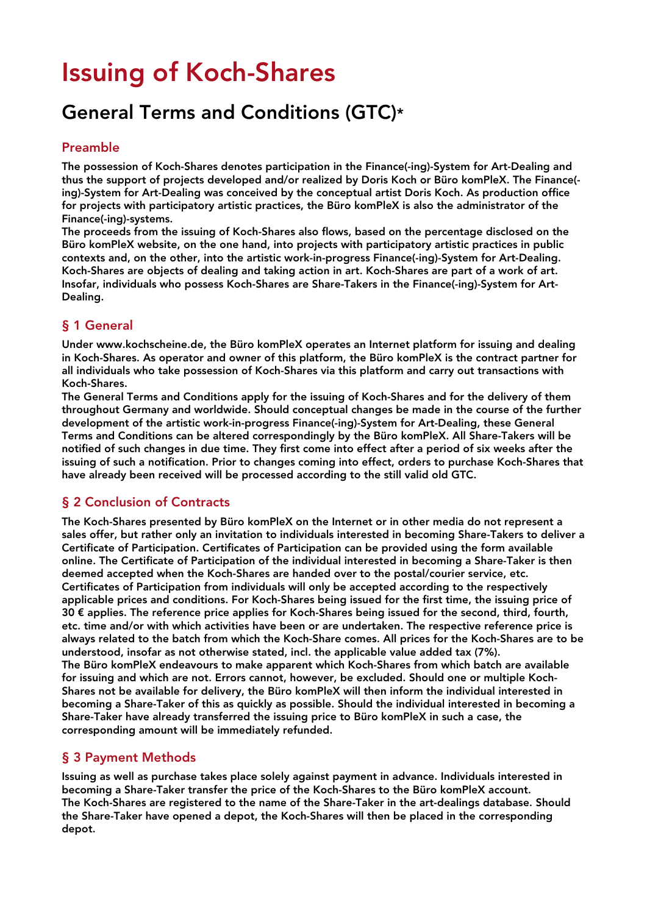# Issuing of Koch-Shares

## General Terms and Conditions (GTC)\*

#### Preamble

The possession of Koch-Shares denotes participation in the Finance(-ing)-System for Art-Dealing and thus the support of projects developed and/or realized by Doris Koch or Büro komPleX. The Finance( ing)-System for Art-Dealing was conceived by the conceptual artist Doris Koch. As production office for projects with participatory artistic practices, the Büro komPleX is also the administrator of the Finance(-ing)-systems.

The proceeds from the issuing of Koch-Shares also flows, based on the percentage disclosed on the Büro komPleX website, on the one hand, into projects with participatory artistic practices in public contexts and, on the other, into the artistic work-in-progress Finance(-ing)-System for Art-Dealing. Koch-Shares are objects of dealing and taking action in art. Koch-Shares are part of a work of art. Insofar, individuals who possess Koch-Shares are Share-Takers in the Finance(-ing)-System for Art-Dealing.

#### § 1 General

Under www.kochscheine.de, the Büro komPleX operates an Internet platform for issuing and dealing in Koch-Shares. As operator and owner of this platform, the Büro komPleX is the contract partner for all individuals who take possession of Koch-Shares via this platform and carry out transactions with Koch-Shares.

The General Terms and Conditions apply for the issuing of Koch-Shares and for the delivery of them throughout Germany and worldwide. Should conceptual changes be made in the course of the further development of the artistic work-in-progress Finance(-ing)-System for Art-Dealing, these General Terms and Conditions can be altered correspondingly by the Büro komPleX. All Share-Takers will be notified of such changes in due time. They first come into effect after a period of six weeks after the issuing of such a notification. Prior to changes coming into effect, orders to purchase Koch-Shares that have already been received will be processed according to the still valid old GTC.

#### § 2 Conclusion of Contracts

The Koch-Shares presented by Büro komPleX on the Internet or in other media do not represent a sales offer, but rather only an invitation to individuals interested in becoming Share-Takers to deliver a Certificate of Participation. Certificates of Participation can be provided using the form available online. The Certificate of Participation of the individual interested in becoming a Share-Taker is then deemed accepted when the Koch-Shares are handed over to the postal/courier service, etc. Certificates of Participation from individuals will only be accepted according to the respectively applicable prices and conditions. For Koch-Shares being issued for the first time, the issuing price of 30 € applies. The reference price applies for Koch-Shares being issued for the second, third, fourth, etc. time and/or with which activities have been or are undertaken. The respective reference price is always related to the batch from which the Koch-Share comes. All prices for the Koch-Shares are to be understood, insofar as not otherwise stated, incl. the applicable value added tax (7%). The Büro komPleX endeavours to make apparent which Koch-Shares from which batch are available for issuing and which are not. Errors cannot, however, be excluded. Should one or multiple Koch-Shares not be available for delivery, the Büro komPleX will then inform the individual interested in becoming a Share-Taker of this as quickly as possible. Should the individual interested in becoming a Share-Taker have already transferred the issuing price to Büro komPleX in such a case, the corresponding amount will be immediately refunded.

#### § 3 Payment Methods

Issuing as well as purchase takes place solely against payment in advance. Individuals interested in becoming a Share-Taker transfer the price of the Koch-Shares to the Büro komPleX account. The Koch-Shares are registered to the name of the Share-Taker in the art-dealings database. Should the Share-Taker have opened a depot, the Koch-Shares will then be placed in the corresponding depot.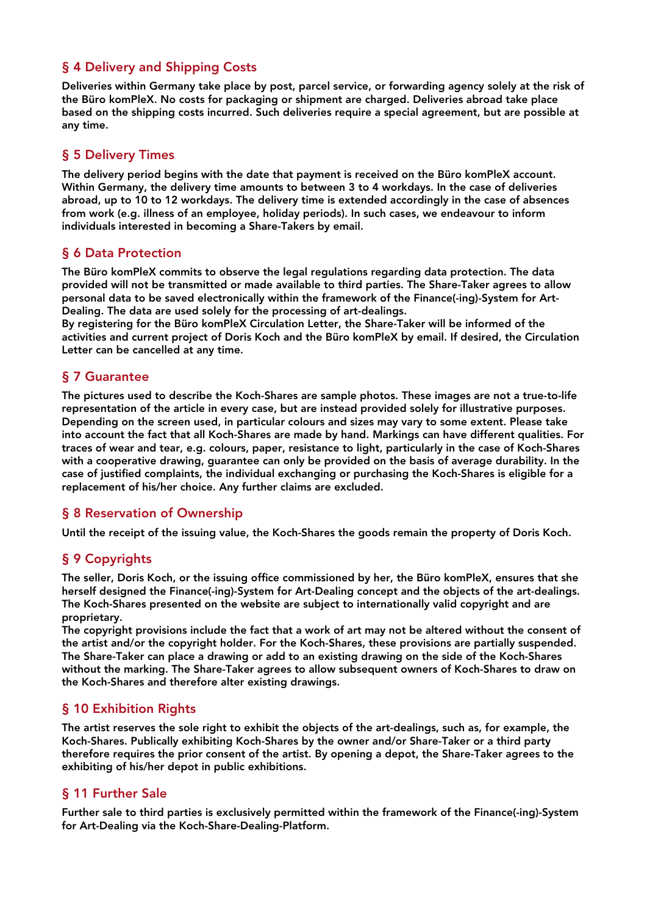#### § 4 Delivery and Shipping Costs

Deliveries within Germany take place by post, parcel service, or forwarding agency solely at the risk of the Büro komPleX. No costs for packaging or shipment are charged. Deliveries abroad take place based on the shipping costs incurred. Such deliveries require a special agreement, but are possible at any time.

#### § 5 Delivery Times

The delivery period begins with the date that payment is received on the Büro komPleX account. Within Germany, the delivery time amounts to between 3 to 4 workdays. In the case of deliveries abroad, up to 10 to 12 workdays. The delivery time is extended accordingly in the case of absences from work (e.g. illness of an employee, holiday periods). In such cases, we endeavour to inform individuals interested in becoming a Share-Takers by email.

#### § 6 Data Protection

The Büro komPleX commits to observe the legal regulations regarding data protection. The data provided will not be transmitted or made available to third parties. The Share-Taker agrees to allow personal data to be saved electronically within the framework of the Finance(-ing)-System for Art-Dealing. The data are used solely for the processing of art-dealings.

By registering for the Büro komPleX Circulation Letter, the Share-Taker will be informed of the activities and current project of Doris Koch and the Büro komPleX by email. If desired, the Circulation Letter can be cancelled at any time.

#### § 7 Guarantee

The pictures used to describe the Koch-Shares are sample photos. These images are not a true-to-life representation of the article in every case, but are instead provided solely for illustrative purposes. Depending on the screen used, in particular colours and sizes may vary to some extent. Please take into account the fact that all Koch-Shares are made by hand. Markings can have different qualities. For traces of wear and tear, e.g. colours, paper, resistance to light, particularly in the case of Koch-Shares with a cooperative drawing, guarantee can only be provided on the basis of average durability. In the case of justified complaints, the individual exchanging or purchasing the Koch-Shares is eligible for a replacement of his/her choice. Any further claims are excluded.

#### § 8 Reservation of Ownership

Until the receipt of the issuing value, the Koch-Shares the goods remain the property of Doris Koch.

#### § 9 Copyrights

The seller, Doris Koch, or the issuing office commissioned by her, the Büro komPleX, ensures that she herself designed the Finance(-ing)-System for Art-Dealing concept and the objects of the art-dealings. The Koch-Shares presented on the website are subject to internationally valid copyright and are proprietary.

The copyright provisions include the fact that a work of art may not be altered without the consent of the artist and/or the copyright holder. For the Koch-Shares, these provisions are partially suspended. The Share-Taker can place a drawing or add to an existing drawing on the side of the Koch-Shares without the marking. The Share-Taker agrees to allow subsequent owners of Koch-Shares to draw on the Koch-Shares and therefore alter existing drawings.

#### § 10 Exhibition Rights

The artist reserves the sole right to exhibit the objects of the art-dealings, such as, for example, the Koch-Shares. Publically exhibiting Koch-Shares by the owner and/or Share-Taker or a third party therefore requires the prior consent of the artist. By opening a depot, the Share-Taker agrees to the exhibiting of his/her depot in public exhibitions.

#### § 11 Further Sale

Further sale to third parties is exclusively permitted within the framework of the Finance(-ing)-System for Art-Dealing via the Koch-Share-Dealing-Platform.